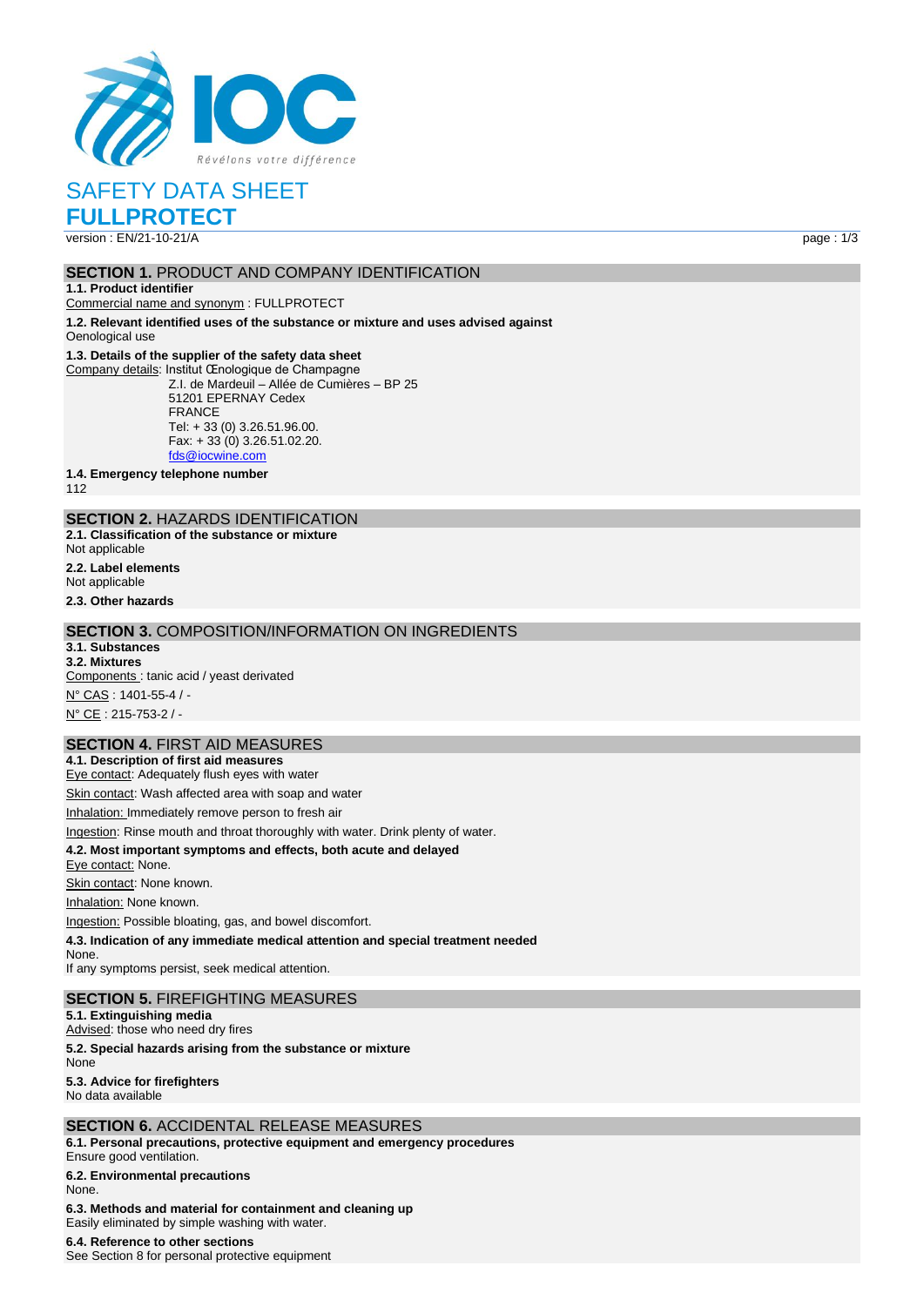

SAFETY DATA SHEET

**FULLPROTECT**

# **SECTION 1. PRODUCT AND COMPANY IDENTIFICATION**

**1.1. Product identifier**

Commercial name and synonym : FULLPROTECT

**1.2. Relevant identified uses of the substance or mixture and uses advised against** Oenological use

#### **1.3. Details of the supplier of the safety data sheet**

Company details: Institut Œnologique de Champagne Z.I. de Mardeuil – Allée de Cumières – BP 25 51201 EPERNAY Cedex FRANCE Tel: + 33 (0) 3.26.51.96.00. Fax: + 33 (0) 3.26.51.02.20. [fds@iocwine.com](mailto:fds@iocwine.com)

**1.4. Emergency telephone number**

112

## **SECTION 2.** HAZARDS IDENTIFICATION

**2.1. Classification of the substance or mixture**

Not applicable

**2.2. Label elements**

Not applicable

**2.3. Other hazards**

### **SECTION 3.** COMPOSITION/INFORMATION ON INGREDIENTS

**3.1. Substances 3.2. Mixtures**

Components : tanic acid / yeast derivated N° CAS : 1401-55-4 / -

N° CE : 215-753-2 / -

### **SECTION 4.** FIRST AID MEASURES

**4.1. Description of first aid measures** Eye contact: Adequately flush eyes with water

Skin contact: Wash affected area with soap and water

Inhalation: Immediately remove person to fresh air

Ingestion: Rinse mouth and throat thoroughly with water. Drink plenty of water.

#### **4.2. Most important symptoms and effects, both acute and delayed**

Eye contact: None.

Skin contact: None known.

Inhalation: None known.

Ingestion: Possible bloating, gas, and bowel discomfort.

**4.3. Indication of any immediate medical attention and special treatment needed**

None. If any symptoms persist, seek medical attention.

### **SECTION 5.** FIREFIGHTING MEASURES

**5.1. Extinguishing media**

Advised: those who need dry fires

**5.2. Special hazards arising from the substance or mixture**

None

**5.3. Advice for firefighters**

No data available

### **SECTION 6.** ACCIDENTAL RELEASE MEASURES

**6.1. Personal precautions, protective equipment and emergency procedures** Ensure good ventilation.

### **6.2. Environmental precautions**

None.

**6.3. Methods and material for containment and cleaning up** Easily eliminated by simple washing with water.

#### **6.4. Reference to other sections**

See Section 8 for personal protective equipment

version : EN/21-10-21/A page : 1/3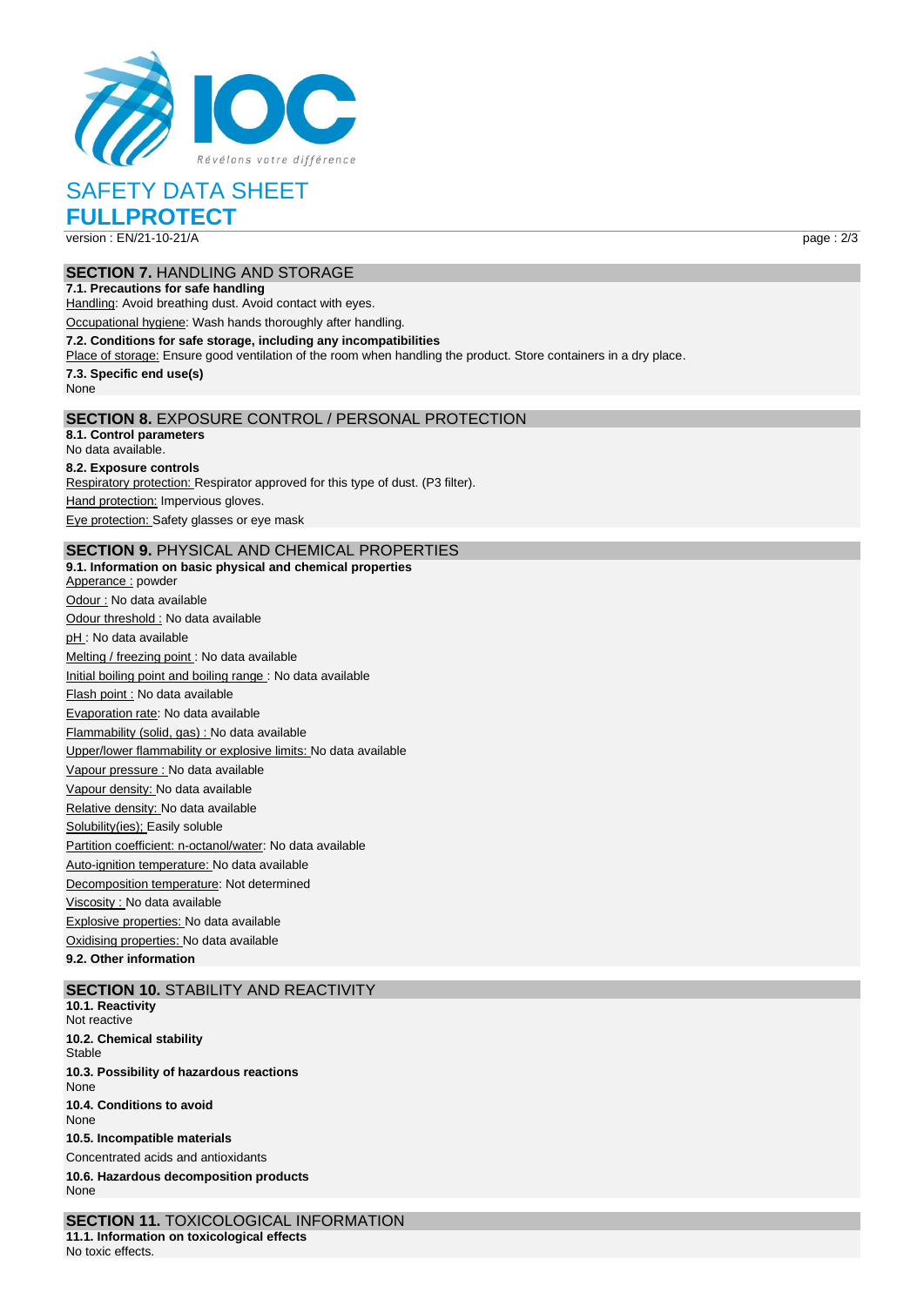

# SAFETY DATA SHEET

**FULLPROTECT** version : EN/21-10-21/A page : 2/3

# **SECTION 7.** HANDLING AND STORAGE

**7.1. Precautions for safe handling** Handling: Avoid breathing dust. Avoid contact with eyes.

Occupational hygiene: Wash hands thoroughly after handling.

**7.2. Conditions for safe storage, including any incompatibilities**

Place of storage: Ensure good ventilation of the room when handling the product. Store containers in a dry place.

**7.3. Specific end use(s)** None

# **SECTION 8.** EXPOSURE CONTROL / PERSONAL PROTECTION

**8.1. Control parameters** No data available. **8.2. Exposure controls** Respiratory protection: Respirator approved for this type of dust. (P3 filter). Hand protection: Impervious gloves. Eye protection: Safety glasses or eye mask

### **SECTION 9.** PHYSICAL AND CHEMICAL PROPERTIES

**9.1. Information on basic physical and chemical properties** Apperance : powder Odour : No data available Odour threshold : No data available pH : No data available Melting / freezing point : No data available Initial boiling point and boiling range : No data available Flash point : No data available Evaporation rate: No data available Flammability (solid, gas) : No data available Upper/lower flammability or explosive limits: No data available Vapour pressure : No data available Vapour density: No data available Relative density: No data available Solubility(ies); Easily soluble Partition coefficient: n-octanol/water: No data available Auto-ignition temperature: No data available Decomposition temperature: Not determined Viscosity : No data available Explosive properties: No data available Oxidising properties: No data available

**9.2. Other information**

### **SECTION 10.** STABILITY AND REACTIVITY

**10.1. Reactivity** Not reactive **10.2. Chemical stability** Stable **10.3. Possibility of hazardous reactions** None **10.4. Conditions to avoid** None **10.5. Incompatible materials** Concentrated acids and antioxidants **10.6. Hazardous decomposition products** None

**SECTION 11.** TOXICOLOGICAL INFORMATION **11.1. Information on toxicological effects** No toxic effects.